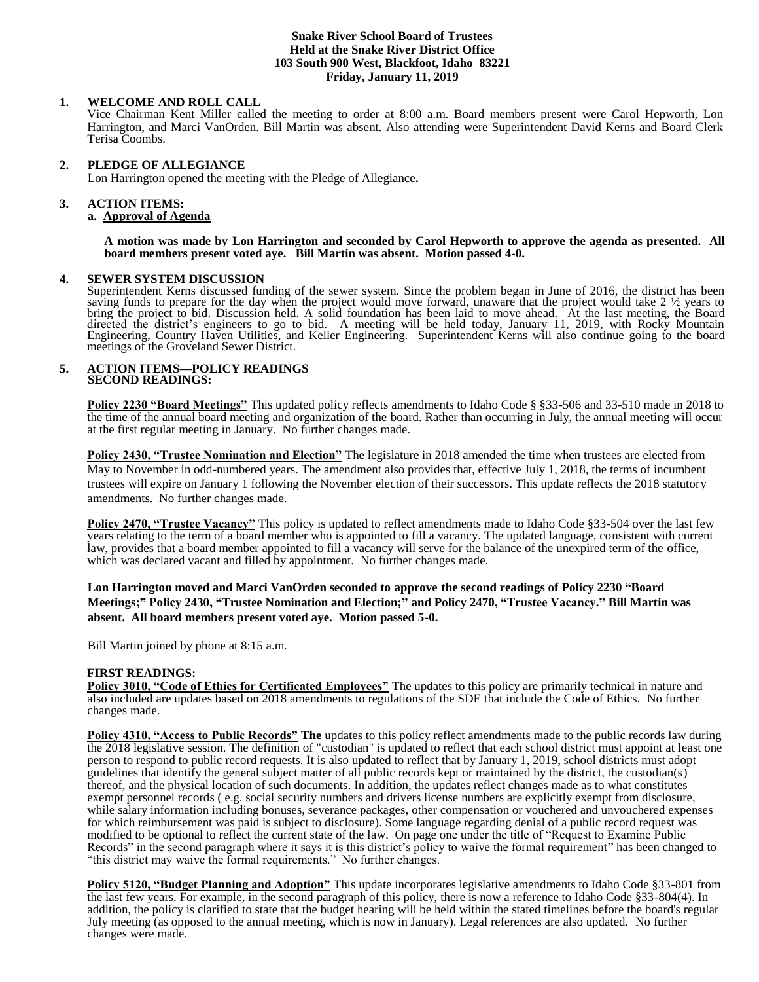### **Snake River School Board of Trustees Held at the Snake River District Office 103 South 900 West, Blackfoot, Idaho 83221 Friday, January 11, 2019**

## **1. WELCOME AND ROLL CALL**

Vice Chairman Kent Miller called the meeting to order at 8:00 a.m. Board members present were Carol Hepworth, Lon Harrington, and Marci VanOrden. Bill Martin was absent. Also attending were Superintendent David Kerns and Board Clerk Terisa Coombs.

## **2. PLEDGE OF ALLEGIANCE**

Lon Harrington opened the meeting with the Pledge of Allegiance**.** 

## **3. ACTION ITEMS:**

## **a. Approval of Agenda**

**A motion was made by Lon Harrington and seconded by Carol Hepworth to approve the agenda as presented. All board members present voted aye. Bill Martin was absent. Motion passed 4-0.**

### **4. SEWER SYSTEM DISCUSSION**

Superintendent Kerns discussed funding of the sewer system. Since the problem began in June of 2016, the district has been saving funds to prepare for the day when the project would move forward, unaware that the project would take 2 ½ years to bring the project to bid. Discussion held. A solid foundation has been laid to move ahead. At the last meeting, the Board directed the district's engineers to go to bid. A meeting will be held today, January 11, 2019, with Rocky Mountain Engineering, Country Haven Utilities, and Keller Engineering. Superintendent Kerns will also continue going to the board meetings of the Groveland Sewer District.

#### **5. ACTION ITEMS—POLICY READINGS SECOND READINGS:**

**Policy 2230 "Board Meetings"** This updated policy reflects amendments to Idaho Code § §33-506 and 33-510 made in 2018 to the time of the annual board meeting and organization of the board. Rather than occurring in July, the annual meeting will occur at the first regular meeting in January. No further changes made.

**Policy 2430, "Trustee Nomination and Election"** The legislature in 2018 amended the time when trustees are elected from May to November in odd-numbered years. The amendment also provides that, effective July 1, 2018, the terms of incumbent trustees will expire on January 1 following the November election of their successors. This update reflects the 2018 statutory amendments. No further changes made.

**Policy 2470, "Trustee Vacancy"** This policy is updated to reflect amendments made to Idaho Code §33-504 over the last few years relating to the term of a board member who is appointed to fill a vacancy. The updated language, consistent with current law, provides that a board member appointed to fill a vacancy will serve for the balance of the unexpired term of the office, which was declared vacant and filled by appointment. No further changes made.

**Lon Harrington moved and Marci VanOrden seconded to approve the second readings of Policy 2230 "Board Meetings;" Policy 2430, "Trustee Nomination and Election;" and Policy 2470, "Trustee Vacancy." Bill Martin was absent. All board members present voted aye. Motion passed 5-0.**

Bill Martin joined by phone at 8:15 a.m.

#### **FIRST READINGS:**

**Policy 3010, "Code of Ethics for Certificated Employees"** The updates to this policy are primarily technical in nature and also included are updates based on 2018 amendments to regulations of the SDE that include the Code of Ethics. No further changes made.

**Policy 4310, "Access to Public Records" The** updates to this policy reflect amendments made to the public records law during the 2018 legislative session. The definition of "custodian" is updated to reflect that each school district must appoint at least one person to respond to public record requests. It is also updated to reflect that by January 1, 2019, school districts must adopt guidelines that identify the general subject matter of all public records kept or maintained by the district, the custodian(s) thereof, and the physical location of such documents. In addition, the updates reflect changes made as to what constitutes exempt personnel records ( e.g. social security numbers and drivers license numbers are explicitly exempt from disclosure, while salary information including bonuses, severance packages, other compensation or vouchered and unvouchered expenses for which reimbursement was paid is subject to disclosure). Some language regarding denial of a public record request was modified to be optional to reflect the current state of the law. On page one under the title of "Request to Examine Public Records" in the second paragraph where it says it is this district's policy to waive the formal requirement" has been changed to "this district may waive the formal requirements." No further changes.

**Policy 5120, "Budget Planning and Adoption"** This update incorporates legislative amendments to Idaho Code §33-801 from the last few years. For example, in the second paragraph of this policy, there is now a reference to Idaho Code §33-804(4). In addition, the policy is clarified to state that the budget hearing will be held within the stated timelines before the board's regular July meeting (as opposed to the annual meeting, which is now in January). Legal references are also updated. No further changes were made.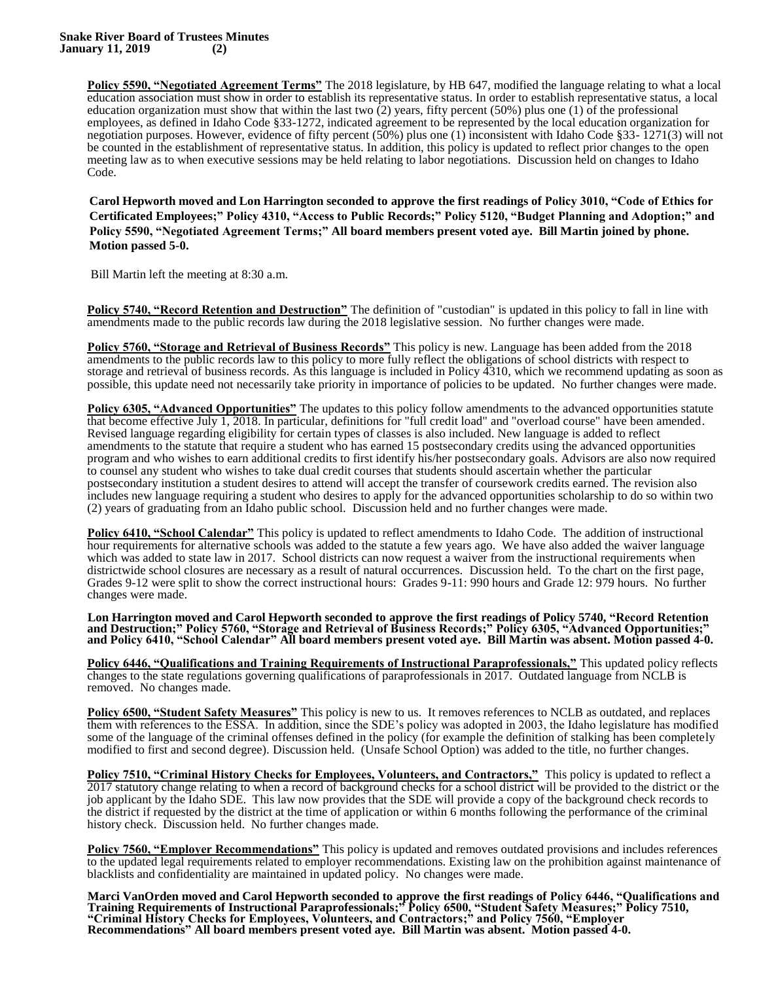**Policy 5590, "Negotiated Agreement Terms"** The 2018 legislature, by HB 647, modified the language relating to what a local education association must show in order to establish its representative status. In order to establish representative status, a local education organization must show that within the last two  $(2)$  years, fifty percent (50%) plus one (1) of the professional employees, as defined in Idaho Code §33-1272, indicated agreement to be represented by the local education organization for negotiation purposes. However, evidence of fifty percent (50%) plus one (1) inconsistent with Idaho Code §33- 1271(3) will not be counted in the establishment of representative status. In addition, this policy is updated to reflect prior changes to the open meeting law as to when executive sessions may be held relating to labor negotiations. Discussion held on changes to Idaho Code.

**Carol Hepworth moved and Lon Harrington seconded to approve the first readings of Policy 3010, "Code of Ethics for Certificated Employees;" Policy 4310, "Access to Public Records;" Policy 5120, "Budget Planning and Adoption;" and Policy 5590, "Negotiated Agreement Terms;" All board members present voted aye. Bill Martin joined by phone. Motion passed 5-0.**

Bill Martin left the meeting at 8:30 a.m.

**Policy 5740, "Record Retention and Destruction"** The definition of "custodian" is updated in this policy to fall in line with amendments made to the public records law during the 2018 legislative session. No further changes were made.

**Policy 5760, "Storage and Retrieval of Business Records"** This policy is new. Language has been added from the 2018 amendments to the public records law to this policy to more fully reflect the obligations of school districts with respect to storage and retrieval of business records. As this language is included in Policy 4310, which we recommend updating as soon as possible, this update need not necessarily take priority in importance of policies to be updated. No further changes were made.

**Policy 6305, "Advanced Opportunities"** The updates to this policy follow amendments to the advanced opportunities statute that become effective July 1, 2018. In particular, definitions for "full credit load" and "overload course" have been amended. Revised language regarding eligibility for certain types of classes is also included. New language is added to reflect amendments to the statute that require a student who has earned 15 postsecondary credits using the advanced opportunities program and who wishes to earn additional credits to first identify his/her postsecondary goals. Advisors are also now required to counsel any student who wishes to take dual credit courses that students should ascertain whether the particular postsecondary institution a student desires to attend will accept the transfer of coursework credits earned. The revision also includes new language requiring a student who desires to apply for the advanced opportunities scholarship to do so within two (2) years of graduating from an Idaho public school. Discussion held and no further changes were made.

**Policy 6410, "School Calendar"** This policy is updated to reflect amendments to Idaho Code. The addition of instructional hour requirements for alternative schools was added to the statute a few years ago. We have also added the waiver language which was added to state law in 2017. School districts can now request a waiver from the instructional requirements when districtwide school closures are necessary as a result of natural occurrences. Discussion held. To the chart on the first page, Grades 9-12 were split to show the correct instructional hours: Grades 9-11: 990 hours and Grade 12: 979 hours. No further changes were made.

**Lon Harrington moved and Carol Hepworth seconded to approve the first readings of Policy 5740, "Record Retention and Destruction;" Policy 5760, "Storage and Retrieval of Business Records;" Policy 6305, "Advanced Opportunities;" and Policy 6410, "School Calendar" All board members present voted aye. Bill Martin was absent. Motion passed 4-0.**

**Policy 6446, "Qualifications and Training Requirements of Instructional Paraprofessionals,"** This updated policy reflects changes to the state regulations governing qualifications of paraprofessionals in 2017. Outdated language from NCLB is removed. No changes made.

**Policy 6500, "Student Safety Measures"** This policy is new to us. It removes references to NCLB as outdated, and replaces them with references to the ESSA. In addition, since the SDE's policy was adopted in 2003, the Idaho legislature has modified some of the language of the criminal offenses defined in the policy (for example the definition of stalking has been completely modified to first and second degree). Discussion held. (Unsafe School Option) was added to the title, no further changes.

**Policy 7510, "Criminal History Checks for Employees, Volunteers, and Contractors,"** This policy is updated to reflect a 2017 statutory change relating to when a record of background checks for a school district will be provided to the district or the job applicant by the Idaho SDE. This law now provides that the SDE will provide a copy of the background check records to the district if requested by the district at the time of application or within 6 months following the performance of the criminal history check. Discussion held. No further changes made.

**Policy 7560, "Employer Recommendations"** This policy is updated and removes outdated provisions and includes references to the updated legal requirements related to employer recommendations. Existing law on the prohibition against maintenance of blacklists and confidentiality are maintained in updated policy. No changes were made.

**Marci VanOrden moved and Carol Hepworth seconded to approve the first readings of Policy 6446, "Qualifications and Training Requirements of Instructional Paraprofessionals;" Policy 6500, "Student Safety Measures;" Policy 7510, "Criminal History Checks for Employees, Volunteers, and Contractors;" and Policy 7560, "Employer Recommendations" All board members present voted aye. Bill Martin was absent. Motion passed 4-0.**